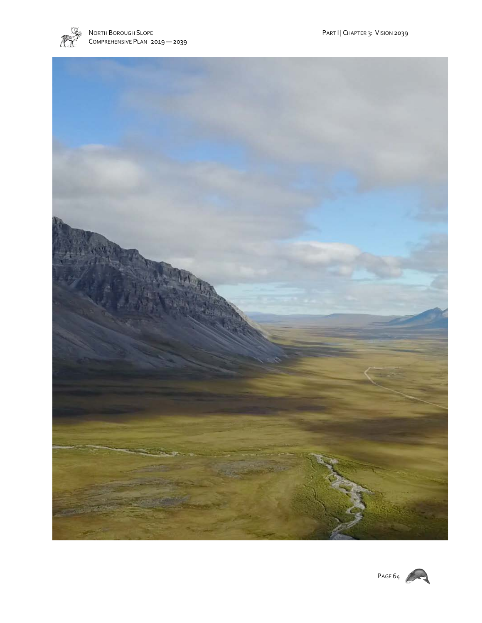



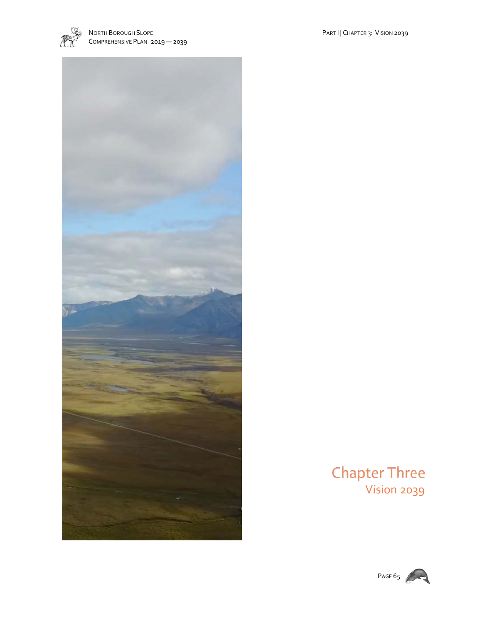



## **Chapter Three** Vision 2039

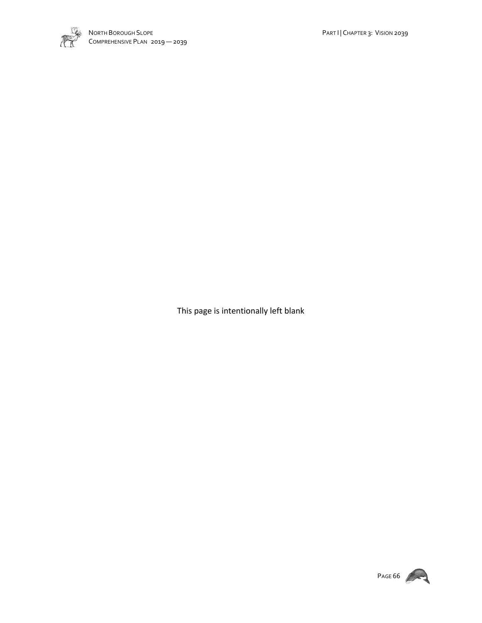

This page is intentionally left blank

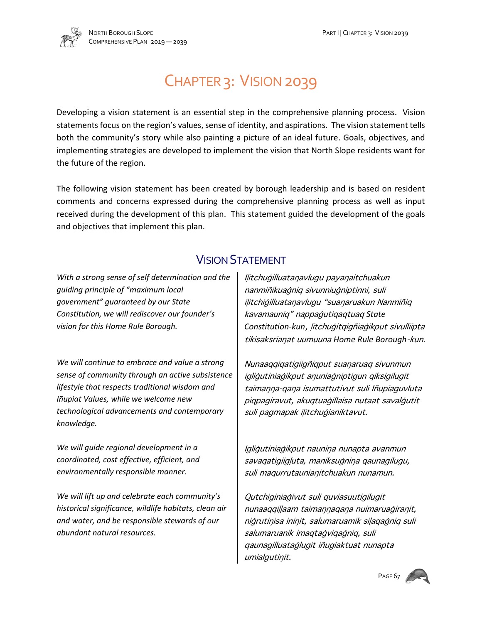

## CHAPTER 3: VISION 2039

Developing a vision statement is an essential step in the comprehensive planning process. Vision statements focus on the region's values, sense of identity, and aspirations. The vision statement tells both the community's story while also painting a picture of an ideal future. Goals, objectives, and implementing strategies are developed to implement the vision that North Slope residents want for the future of the region.

The following vision statement has been created by borough leadership and is based on resident comments and concerns expressed during the comprehensive planning process as well as input received during the development of this plan. This statement guided the development of the goals and objectives that implement this plan.

## VISION STATEMENT

*With a strong sense of self determination and the guiding principle of "maximum local government" guaranteed by our State Constitution, we will rediscover our founder's vision for this Home Rule Borough.*

*We will continue to embrace and value a strong sense of community through an active subsistence lifestyle that respects traditional wisdom and Iñupiat Values, while we welcome new technological advancements and contemporary knowledge.* 

*We will guide regional development in a coordinated, cost effective, efficient, and environmentally responsible manner.*

*We will lift up and celebrate each community's historical significance, wildlife habitats, clean air and water, and be responsible stewards of our abundant natural resources.* 

Ilitchugilluatanavlugu payanaitchuakun nanmiñikuagniq sivunniugniptinni, suli ilitchigilluatanavlugu "suanaruakun Nanmiñiq kavamauniq" nappabutiqaqtuaq *State*  Constitution-kun, *litchuģitqigñiaģikput sivulliipta* tikisaksriafat uumuuna *Home Rule Borough*-kun.

Nunaaqqiqatiqiiqñiqput suanaruaq sivunmun igligutiniagikput anuniagniptigun qiksigilugit taimanna-qana isumattutivut suli Iñupiaguvluta piqpagiravut, akuqtuaģillaisa nutaat savalģutit suli pagmapak ilitchuģianiktavut.

Igligutiniagikput naunina nunapta avanmun savaqatiqiiqluta, maniksuqnina qaunagilugu, suli maqurrutaunianitchuakun nunamun.

Qutchiginiagivut suli quviasuutigilugit nunaaqqi‼aam taimannaqana nuimaruagiranit, nigrutinisa ininit, salumaruamik silaqagniq suli salumaruanik imaqtaqviqaqniq, suli qaunagilluataglugit iñugiaktuat nunapta umialgutinit.